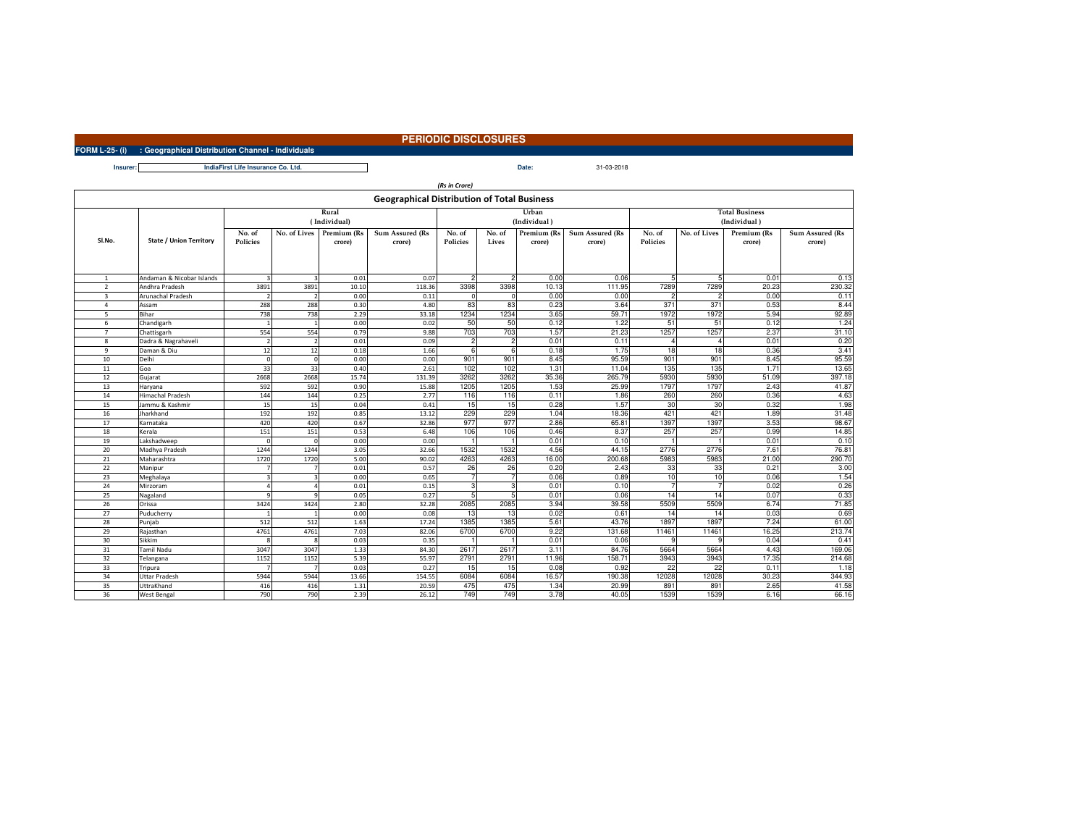## **PERIODIC DISCLOSURES**

**FORM L-25- (i) : Geographical Distribution Channel - Individuals**

**Insurer:Date:** 31-03-2018**IndiaFirst Life Insurance Co. Ltd.**

| (Rs in Crore)                                      |                                |                          |                             |        |                 |                 |                |                       |                        |                                       |                |             |                 |
|----------------------------------------------------|--------------------------------|--------------------------|-----------------------------|--------|-----------------|-----------------|----------------|-----------------------|------------------------|---------------------------------------|----------------|-------------|-----------------|
| <b>Geographical Distribution of Total Business</b> |                                |                          |                             |        |                 |                 |                |                       |                        |                                       |                |             |                 |
|                                                    |                                |                          | Rural<br>(Individual)       |        |                 |                 |                | Urban<br>(Individual) |                        | <b>Total Business</b><br>(Individual) |                |             |                 |
|                                                    |                                | No. of                   | No. of Lives<br>Premium (Rs |        | Sum Assured (Rs | No. of          | No. of         | Premium (Rs           | <b>Sum Assured (Rs</b> | No. of                                | No. of Lives   | Premium (Rs | Sum Assured (Rs |
| SI.No.                                             | <b>State / Union Territory</b> | <b>Policies</b>          |                             | crore) | crore)          | <b>Policies</b> | Lives          | crore)                | crore)                 | <b>Policies</b>                       |                | crore)      | crore)          |
|                                                    |                                |                          |                             |        |                 |                 |                |                       |                        |                                       |                |             |                 |
|                                                    |                                |                          |                             |        |                 |                 |                |                       |                        |                                       |                |             |                 |
|                                                    |                                |                          |                             |        |                 |                 |                |                       |                        |                                       |                |             |                 |
| $\mathbf{1}$                                       | Andaman & Nicobar Islands      | $\overline{3}$           | $\overline{\mathbf{3}}$     | 0.01   | 0.07            | $\overline{2}$  | $\overline{c}$ | 0.00                  | 0.06                   | 5                                     | 5              | 0.01        | 0.13            |
| $\overline{2}$                                     | Andhra Pradesh                 | 3891                     | 3891                        | 10.10  | 118.36          | 3398            | 3398           | 10.13                 | 111.95                 | 7289                                  | 7289           | 20.23       | 230.32          |
| 3                                                  | Arunachal Pradesh              | $\overline{\phantom{a}}$ | $\overline{2}$              | 0.00   | 0.11            | $\Omega$        | $\Omega$       | 0.00                  | 0.00                   | $\overline{c}$                        | $\mathfrak{p}$ | 0.00        | 0.11            |
| $\overline{a}$                                     | Assam                          | 288                      | 288                         | 0.30   | 4.80            | 83              | 83             | 0.23                  | 3.64                   | 371                                   | 371            | 0.53        | 8.44            |
| 5                                                  | Bihar                          | 738                      | 738                         | 2.29   | 33.18           | 1234            | 1234           | 3.65                  | 59.71                  | 1972                                  | 1972           | 5.94        | 92.89           |
| 6                                                  | Chandigarh                     | $\overline{1}$           | $\mathbf{1}$                | 0.00   | 0.02            | 50              | 50             | 0.12                  | 1.22                   | 51                                    | 51             | 0.12        | 1.24            |
| $\overline{7}$                                     | Chattisgarh                    | 554                      | 554                         | 0.79   | 9.88            | 703             | 703            | 1.57                  | 21.23                  | 1257                                  | 1257           | 2.37        | 31.10           |
| 8                                                  | Dadra & Nagrahaveli            | $\overline{\phantom{a}}$ | $\overline{2}$              | 0.01   | 0.09            | $\overline{2}$  | $\mathfrak{p}$ | 0.01                  | 0.11                   | 4                                     | 4              | 0.01        | 0.20            |
| 9                                                  | Daman & Diu                    | 12                       | 12                          | 0.18   | 1.66            | 6               | 6              | 0.18                  | 1.75                   | 18                                    | 18             | 0.36        | 3.41            |
| 10                                                 | Delhi                          | $\Omega$                 | $\Omega$                    | 0.00   | 0.00            | 901             | 901            | 8.45                  | 95.59                  | 901                                   | 901            | 8.45        | 95.59           |
| 11                                                 | Goa                            | 33                       | 33                          | 0.40   | 2.61            | 102             | 102            | 1.31                  | 11.04                  | 135                                   | 135            | 1.71        | 13.65           |
| 12                                                 | Gujarat                        | 2668                     | 2668                        | 15.74  | 131.39          | 3262            | 3262           | 35.36                 | 265.79                 | 5930                                  | 5930           | 51.09       | 397.18          |
| 13                                                 | Haryana                        | 592                      | 592                         | 0.90   | 15.88           | 1205            | 1205           | 1.53                  | 25.99                  | 1797                                  | 1797           | 2.43        | 41.87           |
| 14                                                 | <b>Himachal Pradesh</b>        | 144                      | 144                         | 0.25   | 2.77            | 116             | 116            | 0.11                  | 1.86                   | 260                                   | 260            | 0.36        | 4.63            |
| 15                                                 | Jammu & Kashmir                | 15                       | 15                          | 0.04   | 0.41            | 15              | 15             | 0.28                  | 1.57                   | 30                                    | 30             | 0.32        | 1.98            |
| 16                                                 | Jharkhand                      | 192                      | 192                         | 0.85   | 13.12           | 229             | 229            | 1.04                  | 18.36                  | 421                                   | 421            | 1.89        | 31.48           |
| 17                                                 | Karnataka                      | 420                      | 420                         | 0.67   | 32.86           | 977             | 977            | 2.86                  | 65.81                  | 1397                                  | 1397           | 3.53        | 98.67           |
| 18                                                 | Kerala                         | 151                      | 151                         | 0.53   | 6.48            | 106             | 106            | 0.46                  | 8.37                   | 257                                   | 257            | 0.99        | 14.85           |
| 19                                                 | Lakshadweep                    | $\Omega$                 | $\mathbf 0$                 | 0.00   | 0.00            | $\blacksquare$  |                | 0.01                  | 0.10                   |                                       |                | 0.01        | 0.10            |
| 20                                                 | Madhya Pradesh                 | 1244                     | 1244                        | 3.05   | 32.66           | 1532            | 1532           | 4.56                  | 44.15                  | 2776                                  | 2776           | 7.61        | 76.81           |
| 21                                                 | Maharashtra                    | 1720                     | 1720                        | 5.00   | 90.02           | 4263            | 4263           | 16.00                 | 200.68                 | 5983                                  | 5983           | 21.00       | 290.70          |
| 22                                                 | Manipur                        | $\overline{7}$           |                             | 0.01   | 0.57            | 26              | 26             | 0.20                  | 2.43                   | 33                                    | 33             | 0.21        | 3.00            |
| 23                                                 | Meghalaya                      |                          | $\mathbf{R}$                | 0.00   | 0.65            | $\overline{7}$  |                | 0.06                  | 0.89                   | 10                                    | 10             | 0.06        | 1.54            |
| 24                                                 | Mirzoram                       |                          |                             | 0.01   | 0.15            | $\overline{3}$  | 3              | 0.01                  | 0.10                   | 7                                     |                | 0.02        | 0.26            |
| 25                                                 | Nagaland                       |                          |                             | 0.05   | 0.27            | 5 <sub>l</sub>  | 5              | 0.01                  | 0.06                   | 14                                    | 14             | 0.07        | 0.33            |
| 26                                                 | Orissa                         | 3424                     | 3424                        | 2.80   | 32.28           | 2085            | 2085           | 3.94                  | 39.58                  | 5509                                  | 5509           | 6.74        | 71.85           |
| 27                                                 | Puducherry                     |                          |                             | 0.00   | 0.08            | 13              | 13             | 0.02                  | 0.61                   | 14                                    | 14             | 0.03        | 0.69            |
| 28                                                 | Punjab                         | 512                      | 512                         | 1.63   | 17.24           | 1385            | 1385           | 5.61                  | 43.76                  | 1897                                  | 1897           | 7.24        | 61.00           |
| 29                                                 | Rajasthan                      | 4761                     | 4761                        | 7.03   | 82.06           | 6700            | 6700           | 9.22                  | 131.68                 | 11461                                 | 11461          | 16.25       | 213.74          |
| 30                                                 | Sikkim                         | $\mathbf{8}$             | $\mathbf{\hat{z}}$          | 0.03   | 0.35            | $\mathbf{1}$    |                | 0.01                  | 0.06                   | 9                                     | 9              | 0.04        | 0.41            |
| 31                                                 | <b>Tamil Nadu</b>              | 3047                     | 3047                        | 1.33   | 84.30           | 2617            | 2617           | 3.11                  | 84.76                  | 5664                                  | 5664           | 4.43        | 169.06          |
| 32                                                 | Telangana                      | 1152                     | 1152                        | 5.39   | 55.97           | 2791            | 2791           | 11.96                 | 158.71                 | 3943                                  | 3943           | 17.35       | 214.68          |
| 33                                                 | Tripura                        |                          |                             | 0.03   | 0.27            | 15              | 15             | 0.08                  | 0.92                   | 22                                    | 22             | 0.11        | 1.18            |
| 34                                                 | <b>Uttar Pradesh</b>           | 5944                     | 5944                        | 13.66  | 154.55          | 6084            | 6084           | 16.57                 | 190.38                 | 12028                                 | 12028          | 30.23       | 344.93          |
| 35                                                 | UttraKhand                     | 416                      | 416                         | 1.31   | 20.59           | 475             | 475            | 1.34                  | 20.99                  | 891                                   | 891            | 2.65        | 41.58           |
| 36                                                 | <b>West Bengal</b>             | 790                      | 790                         | 2.39   | 26.12           | 749             | 749            | 3.78                  | 40.05                  | 1539                                  | 1539           | 6.16        | 66.16           |